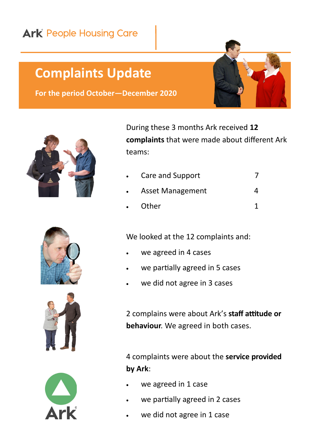## **Ark** People Housing Care

## **Complaints Update**

**For the period October—December 2020**



During these 3 months Ark received **12 complaints** that were made about different Ark teams:

| $\bullet$ | Care and Support        |  |
|-----------|-------------------------|--|
|           | <b>Asset Management</b> |  |
| $\bullet$ | Other                   |  |







We looked at the 12 complaints and:

- we agreed in 4 cases
- we partially agreed in 5 cases
- we did not agree in 3 cases

2 complains were about Ark's **staff attitude or behaviour**. We agreed in both cases.

4 complaints were about the **service provided by Ark**:

- we agreed in 1 case
- we partially agreed in 2 cases
- we did not agree in 1 case